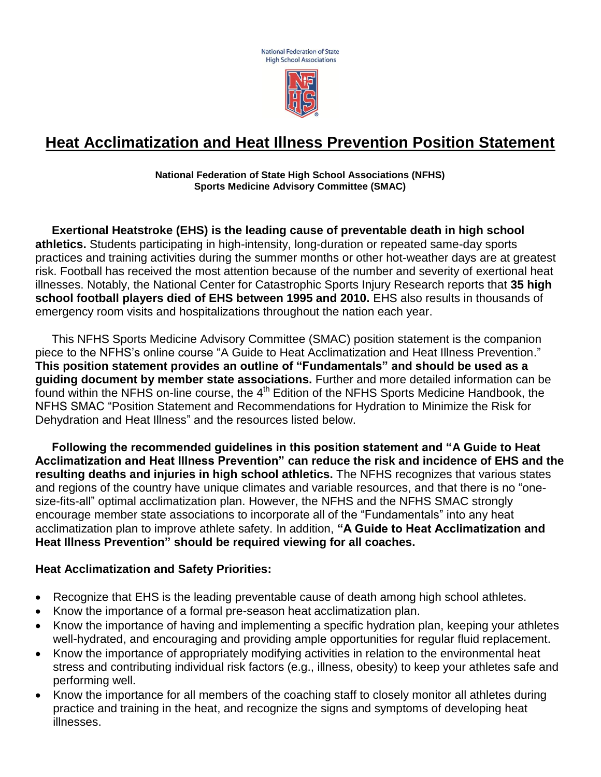**National Federation of State High School Associations** 



# **Heat Acclimatization and Heat Illness Prevention Position Statement**

**National Federation of State High School Associations (NFHS) Sports Medicine Advisory Committee (SMAC)**

 **Exertional Heatstroke (EHS) is the leading cause of preventable death in high school athletics.** Students participating in high-intensity, long-duration or repeated same-day sports practices and training activities during the summer months or other hot-weather days are at greatest risk. Football has received the most attention because of the number and severity of exertional heat illnesses. Notably, the National Center for Catastrophic Sports Injury Research reports that **35 high school football players died of EHS between 1995 and 2010.** EHS also results in thousands of emergency room visits and hospitalizations throughout the nation each year.

 This NFHS Sports Medicine Advisory Committee (SMAC) position statement is the companion piece to the NFHS's online course "A Guide to Heat Acclimatization and Heat Illness Prevention." **This position statement provides an outline of "Fundamentals" and should be used as a guiding document by member state associations.** Further and more detailed information can be found within the NFHS on-line course, the 4<sup>th</sup> Edition of the NFHS Sports Medicine Handbook, the NFHS SMAC ["Position Statement and Recommendations for Hydration to Minimize the Risk for](http://www.nfhs.org/WorkArea/linkit.aspx?LinkIdentifier=id&ItemID=6208&libID=6229)  [Dehydration and Heat Illness"](http://www.nfhs.org/WorkArea/linkit.aspx?LinkIdentifier=id&ItemID=6208&libID=6229) and the resources listed below.

 **Following the recommended guidelines in this position statement and "A Guide to Heat Acclimatization and Heat Illness Prevention" can reduce the risk and incidence of EHS and the resulting deaths and injuries in high school athletics.** The NFHS recognizes that various states and regions of the country have unique climates and variable resources, and that there is no "onesize-fits-all" optimal acclimatization plan. However, the NFHS and the NFHS SMAC strongly encourage member state associations to incorporate all of the "Fundamentals" into any heat acclimatization plan to improve athlete safety. In addition, **"A Guide to Heat Acclimatization and Heat Illness Prevention" should be required viewing for all coaches.**

#### **Heat Acclimatization and Safety Priorities:**

- Recognize that EHS is the leading preventable cause of death among high school athletes.
- Know the importance of a formal pre-season heat acclimatization plan.
- Know the importance of having and implementing a specific hydration plan, keeping your athletes well-hydrated, and encouraging and providing ample opportunities for regular fluid replacement.
- Know the importance of appropriately modifying activities in relation to the environmental heat stress and contributing individual risk factors (e.g., illness, obesity) to keep your athletes safe and performing well.
- Know the importance for all members of the coaching staff to closely monitor all athletes during practice and training in the heat, and recognize the signs and symptoms of developing heat illnesses.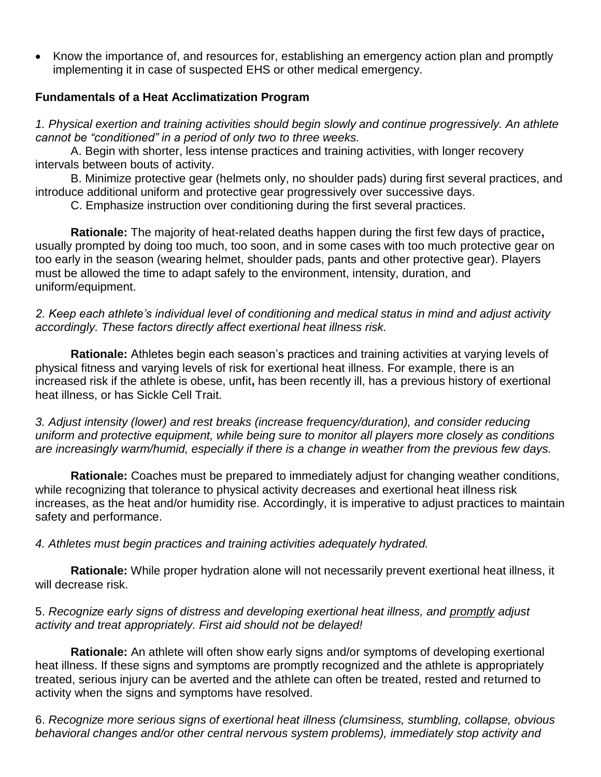• Know the importance of, and resources for, establishing an emergency action plan and promptly implementing it in case of suspected EHS or other medical emergency.

### **Fundamentals of a Heat Acclimatization Program**

*1. Physical exertion and training activities should begin slowly and continue progressively. An athlete cannot be "conditioned" in a period of only two to three weeks.*

A. Begin with shorter, less intense practices and training activities, with longer recovery intervals between bouts of activity.

B. Minimize protective gear (helmets only, no shoulder pads) during first several practices, and introduce additional uniform and protective gear progressively over successive days.

C. Emphasize instruction over conditioning during the first several practices.

**Rationale:** The majority of heat-related deaths happen during the first few days of practice**,**  usually prompted by doing too much, too soon, and in some cases with too much protective gear on too early in the season (wearing helmet, shoulder pads, pants and other protective gear). Players must be allowed the time to adapt safely to the environment, intensity, duration, and uniform/equipment.

*2. Keep each athlete's individual level of conditioning and medical status in mind and adjust activity accordingly. These factors directly affect exertional heat illness risk.*

**Rationale:** Athletes begin each season's practices and training activities at varying levels of physical fitness and varying levels of risk for exertional heat illness. For example, there is an increased risk if the athlete is obese, unfit**,** has been recently ill, has a previous history of exertional heat illness, or has Sickle Cell Trait.

*3. Adjust intensity (lower) and rest breaks (increase frequency/duration), and consider reducing uniform and protective equipment, while being sure to monitor all players more closely as conditions are increasingly warm/humid, especially if there is a change in weather from the previous few days.*

**Rationale:** Coaches must be prepared to immediately adjust for changing weather conditions, while recognizing that tolerance to physical activity decreases and exertional heat illness risk increases, as the heat and/or humidity rise. Accordingly, it is imperative to adjust practices to maintain safety and performance.

*4. Athletes must begin practices and training activities adequately hydrated.*

**Rationale:** While proper hydration alone will not necessarily prevent exertional heat illness, it will decrease risk.

#### 5. *Recognize early signs of distress and developing exertional heat illness, and promptly adjust activity and treat appropriately. First aid should not be delayed!*

**Rationale:** An athlete will often show early signs and/or symptoms of developing exertional heat illness. If these signs and symptoms are promptly recognized and the athlete is appropriately treated, serious injury can be averted and the athlete can often be treated, rested and returned to activity when the signs and symptoms have resolved.

6. *Recognize more serious signs of exertional heat illness (clumsiness, stumbling, collapse, obvious behavioral changes and/or other central nervous system problems), immediately stop activity and*